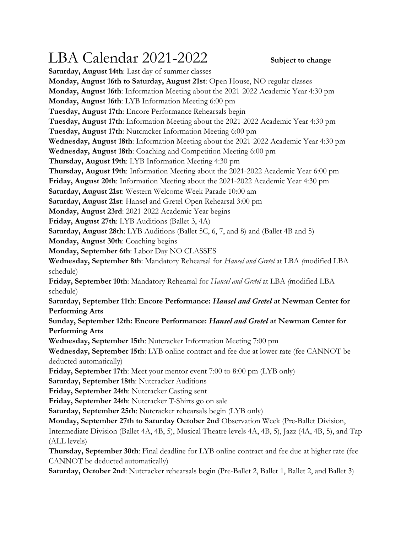## LBA Calendar 2021-2022 Subject to change

**Saturday, August 14th**: Last day of summer classes **Monday, August 16th to Saturday, August 21st**: Open House, NO regular classes **Monday, August 16th**: Information Meeting about the 2021-2022 Academic Year 4:30 pm **Monday, August 16th**: LYB Information Meeting 6:00 pm **Tuesday, August 17th**: Encore Performance Rehearsals begin **Tuesday, August 17th**: Information Meeting about the 2021-2022 Academic Year 4:30 pm **Tuesday, August 17th**: Nutcracker Information Meeting 6:00 pm **Wednesday, August 18th**: Information Meeting about the 2021-2022 Academic Year 4:30 pm **Wednesday, August 18th**: Coaching and Competition Meeting 6:00 pm **Thursday, August 19th**: LYB Information Meeting 4:30 pm **Thursday, August 19th**: Information Meeting about the 2021-2022 Academic Year 6:00 pm **Friday, August 20th**: Information Meeting about the 2021-2022 Academic Year 4:30 pm **Saturday, August 21st**: Western Welcome Week Parade 10:00 am **Saturday, August 21st**: Hansel and Gretel Open Rehearsal 3:00 pm **Monday, August 23rd**: 2021-2022 Academic Year begins **Friday, August 27th**: LYB Auditions (Ballet 3, 4A) **Saturday, August 28th**: LYB Auditions (Ballet 5C, 6, 7, and 8) and (Ballet 4B and 5) **Monday, August 30th**: Coaching begins **Monday, September 6th**: Labor Day NO CLASSES

**Wednesday, September 8th**: Mandatory Rehearsal for *Hansel and Gretel* at LBA *(*modified LBA schedule)

**Friday, September 10th**: Mandatory Rehearsal for *Hansel and Gretel* at LBA *(*modified LBA schedule)

**Saturday, September 11th**: **Encore Performance:** *Hansel and Gretel* **at Newman Center for Performing Arts**

**Sunday, September 12th: Encore Performance:** *Hansel and Gretel* **at Newman Center for Performing Arts**

**Wednesday, September 15th**: Nutcracker Information Meeting 7:00 pm

**Wednesday, September 15th**: LYB online contract and fee due at lower rate (fee CANNOT be deducted automatically)

**Friday, September 17th**: Meet your mentor event 7:00 to 8:00 pm (LYB only)

**Saturday, September 18th**: Nutcracker Auditions

**Friday, September 24th**: Nutcracker Casting sent

**Friday, September 24th**: Nutcracker T-Shirts go on sale

**Saturday, September 25th**: Nutcracker rehearsals begin (LYB only)

**Monday, September 27th to Saturday October 2nd**: Observation Week (Pre-Ballet Division,

Intermediate Division (Ballet 4A, 4B, 5), Musical Theatre levels 4A, 4B, 5), Jazz (4A, 4B, 5), and Tap (ALL levels)

**Thursday, September 30th**: Final deadline for LYB online contract and fee due at higher rate (fee CANNOT be deducted automatically)

**Saturday, October 2nd**: Nutcracker rehearsals begin (Pre-Ballet 2, Ballet 1, Ballet 2, and Ballet 3)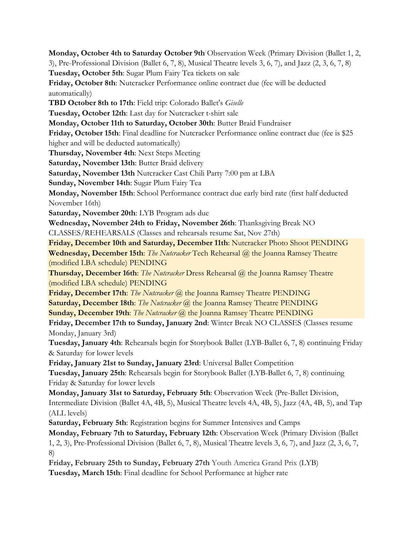**Monday, October 4th to Saturday October 9th**: Observation Week (Primary Division (Ballet 1, 2, 3), Pre-Professional Division (Ballet 6, 7, 8), Musical Theatre levels 3, 6, 7), and Jazz (2, 3, 6, 7, 8) **Tuesday, October 5th**: Sugar Plum Fairy Tea tickets on sale **Friday, October 8th**: Nutcracker Performance online contract due (fee will be deducted automatically) **TBD October 8th to 17th**: Field trip: Colorado Ballet's *Giselle* **Tuesday, October 12th**: Last day for Nutcracker t-shirt sale **Monday, October 11th to Saturday, October 30th**: Butter Braid Fundraiser **Friday, October 15th**: Final deadline for Nutcracker Performance online contract due (fee is \$25 higher and will be deducted automatically) **Thursday, November 4th**: Next Steps Meeting **Saturday, November 13th**: Butter Braid delivery **Saturday, November 13th** Nutcracker Cast Chili Party 7:00 pm at LBA **Sunday, November 14th**: Sugar Plum Fairy Tea **Monday, November 15th**: School Performance contract due early bird rate (first half deducted November 16th) **Saturday, November 20th**: LYB Program ads due **Wednesday, November 24th to Friday, November 26th**: Thanksgiving Break NO CLASSES/REHEARSALS (Classes and rehearsals resume Sat, Nov 27th) **Friday, December 10th and Saturday, December 11th**: Nutcracker Photo Shoot PENDING **Wednesday, December 15th**: *The Nutcracker* Tech Rehearsal @ the Joanna Ramsey Theatre (modified LBA schedule) PENDING **Thursday, December 16th**: *The Nutcracker* Dress Rehearsal @ the Joanna Ramsey Theatre (modified LBA schedule) PENDING **Friday, December 17th**: *The Nutcracker* @ the Joanna Ramsey Theatre PENDING **Saturday, December 18th**: *The Nutcracker* @ the Joanna Ramsey Theatre PENDING **Sunday, December 19th**: *The Nutcracker* @ the Joanna Ramsey Theatre PENDING **Friday, December 17th to Sunday, January 2nd**: Winter Break NO CLASSES (Classes resume Monday, January 3rd) **Tuesday, January 4th**: Rehearsals begin for Storybook Ballet (LYB-Ballet 6, 7, 8) continuing Friday & Saturday for lower levels **Friday, January 21st to Sunday, January 23rd**: Universal Ballet Competition **Tuesday, January 25th**: Rehearsals begin for Storybook Ballet (LYB-Ballet 6, 7, 8) continuing Friday & Saturday for lower levels **Monday, January 31st to Saturday, February 5th**: Observation Week (Pre-Ballet Division, Intermediate Division (Ballet 4A, 4B, 5), Musical Theatre levels 4A, 4B, 5), Jazz (4A, 4B, 5), and Tap (ALL levels) **Saturday, February 5th**: Registration begins for Summer Intensives and Camps **Monday, February 7th to Saturday, February 12th**: Observation Week (Primary Division (Ballet 1, 2, 3), Pre-Professional Division (Ballet 6, 7, 8), Musical Theatre levels 3, 6, 7), and Jazz (2, 3, 6, 7, 8) **Friday, February 25th to Sunday, February 27th** Youth America Grand Prix (LYB) **Tuesday, March 15th**: Final deadline for School Performance at higher rate